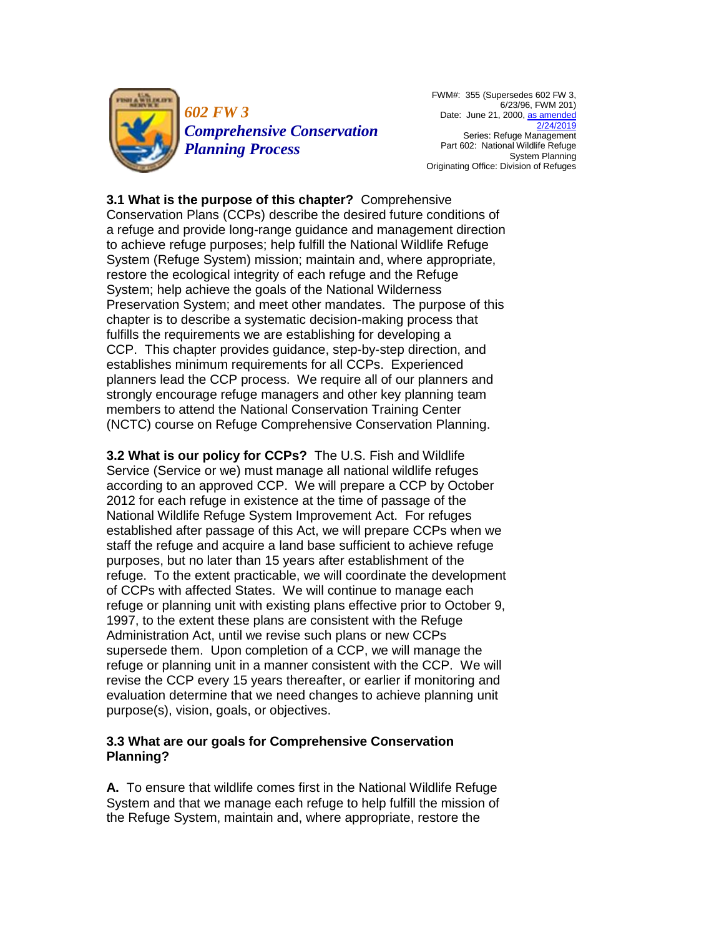

*602 FW 3 Comprehensive Conservation Planning Process*

FWM#: 355 (Supersedes 602 FW 3, 6/23/96, FWM 201) Date: June 21, 2000, as amended [2/24/2019](https://www.fws.gov/policy/a1602fw3.pdf) Series: Refuge Management Part 602: National Wildlife Refuge System Planning Originating Office: Division of Refuges

**3.1 What is the purpose of this chapter?** Comprehensive Conservation Plans (CCPs) describe the desired future conditions of a refuge and provide long-range guidance and management direction to achieve refuge purposes; help fulfill the National Wildlife Refuge System (Refuge System) mission; maintain and, where appropriate, restore the ecological integrity of each refuge and the Refuge System; help achieve the goals of the National Wilderness Preservation System; and meet other mandates. The purpose of this chapter is to describe a systematic decision-making process that fulfills the requirements we are establishing for developing a CCP. This chapter provides guidance, step-by-step direction, and establishes minimum requirements for all CCPs. Experienced planners lead the CCP process. We require all of our planners and strongly encourage refuge managers and other key planning team members to attend the National Conservation Training Center (NCTC) course on Refuge Comprehensive Conservation Planning.

**3.2 What is our policy for CCPs?** The U.S. Fish and Wildlife Service (Service or we) must manage all national wildlife refuges according to an approved CCP. We will prepare a CCP by October 2012 for each refuge in existence at the time of passage of the National Wildlife Refuge System Improvement Act. For refuges established after passage of this Act, we will prepare CCPs when we staff the refuge and acquire a land base sufficient to achieve refuge purposes, but no later than 15 years after establishment of the refuge. To the extent practicable, we will coordinate the development of CCPs with affected States. We will continue to manage each refuge or planning unit with existing plans effective prior to October 9, 1997, to the extent these plans are consistent with the Refuge Administration Act, until we revise such plans or new CCPs supersede them. Upon completion of a CCP, we will manage the refuge or planning unit in a manner consistent with the CCP. We will revise the CCP every 15 years thereafter, or earlier if monitoring and evaluation determine that we need changes to achieve planning unit purpose(s), vision, goals, or objectives.

# **3.3 What are our goals for Comprehensive Conservation Planning?**

**A.** To ensure that wildlife comes first in the National Wildlife Refuge System and that we manage each refuge to help fulfill the mission of the Refuge System, maintain and, where appropriate, restore the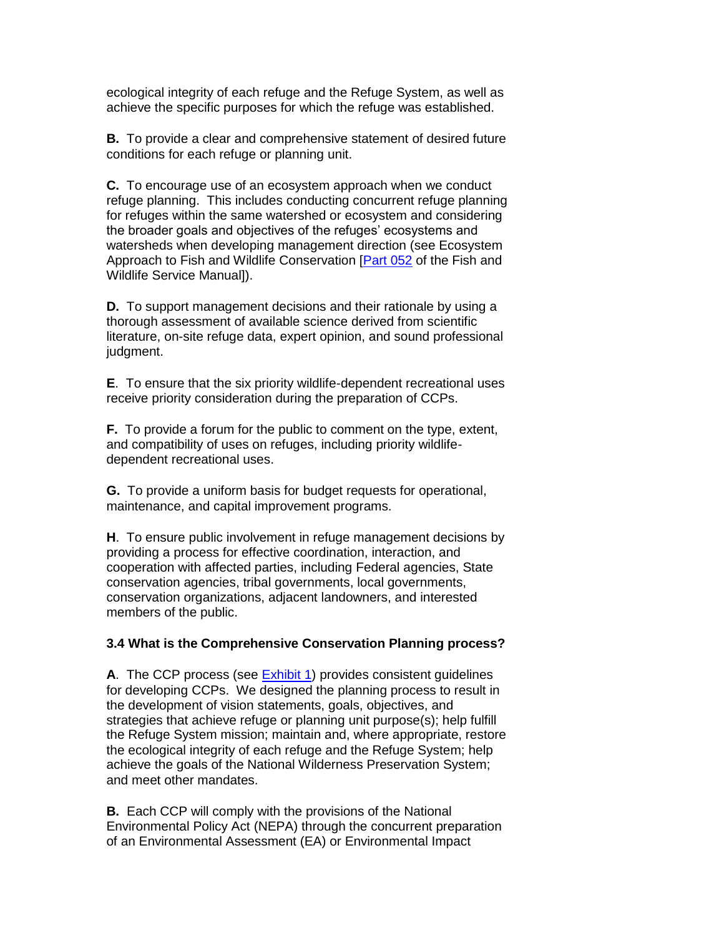ecological integrity of each refuge and the Refuge System, as well as achieve the specific purposes for which the refuge was established.

**B.** To provide a clear and comprehensive statement of desired future conditions for each refuge or planning unit.

**C.** To encourage use of an ecosystem approach when we conduct refuge planning. This includes conducting concurrent refuge planning for refuges within the same watershed or ecosystem and considering the broader goals and objectives of the refuges' ecosystems and watersheds when developing management direction (see Ecosystem Approach to Fish and Wildlife Conservation [\[Part 052](https://www.fws.gov/policy/manuals/part.cfm?series=000&seriestitle=SERVICE%20MANAGEMENT%20SERIES#052) of the Fish and Wildlife Service Manual]).

**D.** To support management decisions and their rationale by using a thorough assessment of available science derived from scientific literature, on-site refuge data, expert opinion, and sound professional judgment.

**E**. To ensure that the six priority wildlife-dependent recreational uses receive priority consideration during the preparation of CCPs.

**F.** To provide a forum for the public to comment on the type, extent, and compatibility of uses on refuges, including priority wildlifedependent recreational uses.

**G.** To provide a uniform basis for budget requests for operational, maintenance, and capital improvement programs.

**H**. To ensure public involvement in refuge management decisions by providing a process for effective coordination, interaction, and cooperation with affected parties, including Federal agencies, State conservation agencies, tribal governments, local governments, conservation organizations, adjacent landowners, and interested members of the public.

# **3.4 What is the Comprehensive Conservation Planning process?**

A. The CCP process (see **Exhibit 1**) provides consistent guidelines for developing CCPs. We designed the planning process to result in the development of vision statements, goals, objectives, and strategies that achieve refuge or planning unit purpose(s); help fulfill the Refuge System mission; maintain and, where appropriate, restore the ecological integrity of each refuge and the Refuge System; help achieve the goals of the National Wilderness Preservation System; and meet other mandates.

**B.** Each CCP will comply with the provisions of the National Environmental Policy Act (NEPA) through the concurrent preparation of an Environmental Assessment (EA) or Environmental Impact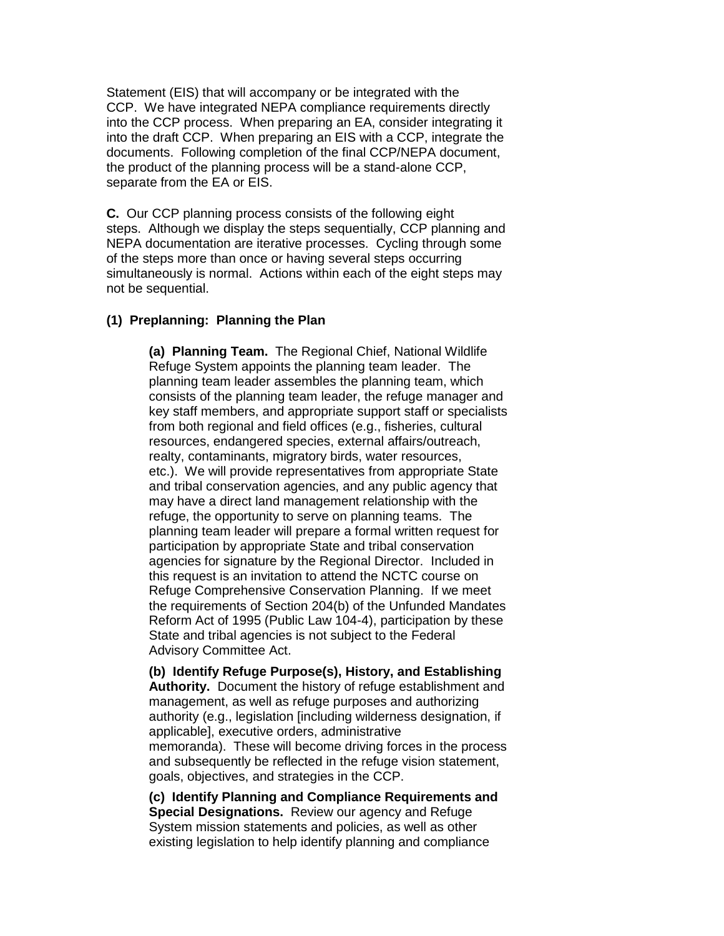Statement (EIS) that will accompany or be integrated with the CCP. We have integrated NEPA compliance requirements directly into the CCP process. When preparing an EA, consider integrating it into the draft CCP. When preparing an EIS with a CCP, integrate the documents. Following completion of the final CCP/NEPA document, the product of the planning process will be a stand-alone CCP, separate from the EA or EIS.

**C.** Our CCP planning process consists of the following eight steps. Although we display the steps sequentially, CCP planning and NEPA documentation are iterative processes. Cycling through some of the steps more than once or having several steps occurring simultaneously is normal. Actions within each of the eight steps may not be sequential.

### **(1) Preplanning: Planning the Plan**

**(a) Planning Team.** The Regional Chief, National Wildlife Refuge System appoints the planning team leader. The planning team leader assembles the planning team, which consists of the planning team leader, the refuge manager and key staff members, and appropriate support staff or specialists from both regional and field offices (e.g., fisheries, cultural resources, endangered species, external affairs/outreach, realty, contaminants, migratory birds, water resources, etc.). We will provide representatives from appropriate State and tribal conservation agencies, and any public agency that may have a direct land management relationship with the refuge, the opportunity to serve on planning teams. The planning team leader will prepare a formal written request for participation by appropriate State and tribal conservation agencies for signature by the Regional Director. Included in this request is an invitation to attend the NCTC course on Refuge Comprehensive Conservation Planning. If we meet the requirements of Section 204(b) of the Unfunded Mandates Reform Act of 1995 (Public Law 104-4), participation by these State and tribal agencies is not subject to the Federal Advisory Committee Act.

**(b) Identify Refuge Purpose(s), History, and Establishing Authority.** Document the history of refuge establishment and management, as well as refuge purposes and authorizing authority (e.g., legislation [including wilderness designation, if applicable], executive orders, administrative memoranda). These will become driving forces in the process and subsequently be reflected in the refuge vision statement, goals, objectives, and strategies in the CCP.

**(c) Identify Planning and Compliance Requirements and Special Designations.** Review our agency and Refuge System mission statements and policies, as well as other existing legislation to help identify planning and compliance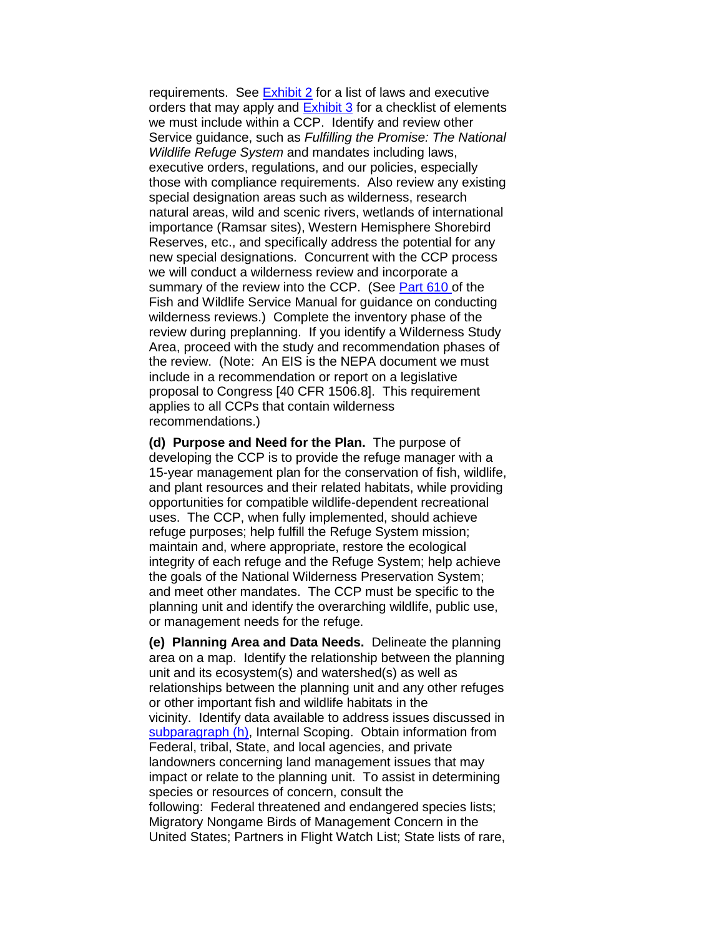requirements. See [Exhibit 2](https://www.fws.gov/policy/e2602fw3.html) for a list of laws and executive orders that may apply and [Exhibit 3](https://www.fws.gov/policy/e3602fw3.html) for a checklist of elements we must include within a CCP. Identify and review other Service guidance, such as *Fulfilling the Promise: The National Wildlife Refuge System* and mandates including laws, executive orders, regulations, and our policies, especially those with compliance requirements. Also review any existing special designation areas such as wilderness, research natural areas, wild and scenic rivers, wetlands of international importance (Ramsar sites), Western Hemisphere Shorebird Reserves, etc., and specifically address the potential for any new special designations. Concurrent with the CCP process we will conduct a wilderness review and incorporate a summary of the review into the CCP. (See [Part 610 o](https://www.fws.gov/policy/manuals/part.cfm?series=600&seriestitle=LAND%20USE%20AND%20MANAGEMENT%20SERIES#610)f the Fish and Wildlife Service Manual for guidance on conducting wilderness reviews.) Complete the inventory phase of the review during preplanning. If you identify a Wilderness Study Area, proceed with the study and recommendation phases of the review. (Note: An EIS is the NEPA document we must include in a recommendation or report on a legislative proposal to Congress [40 CFR 1506.8]. This requirement applies to all CCPs that contain wilderness recommendations.)

**(d) Purpose and Need for the Plan.** The purpose of developing the CCP is to provide the refuge manager with a 15-year management plan for the conservation of fish, wildlife, and plant resources and their related habitats, while providing opportunities for compatible wildlife-dependent recreational uses. The CCP, when fully implemented, should achieve refuge purposes; help fulfill the Refuge System mission; maintain and, where appropriate, restore the ecological integrity of each refuge and the Refuge System; help achieve the goals of the National Wilderness Preservation System; and meet other mandates. The CCP must be specific to the planning unit and identify the overarching wildlife, public use, or management needs for the refuge.

**(e) Planning Area and Data Needs.** Delineate the planning area on a map. Identify the relationship between the planning unit and its ecosystem(s) and watershed(s) as well as relationships between the planning unit and any other refuges or other important fish and wildlife habitats in the vicinity. Identify data available to address issues discussed in [subparagraph \(h\),](https://www.fws.gov/policy/602fw3.html#(h)) Internal Scoping. Obtain information from Federal, tribal, State, and local agencies, and private landowners concerning land management issues that may impact or relate to the planning unit. To assist in determining species or resources of concern, consult the following: Federal threatened and endangered species lists; Migratory Nongame Birds of Management Concern in the United States; Partners in Flight Watch List; State lists of rare,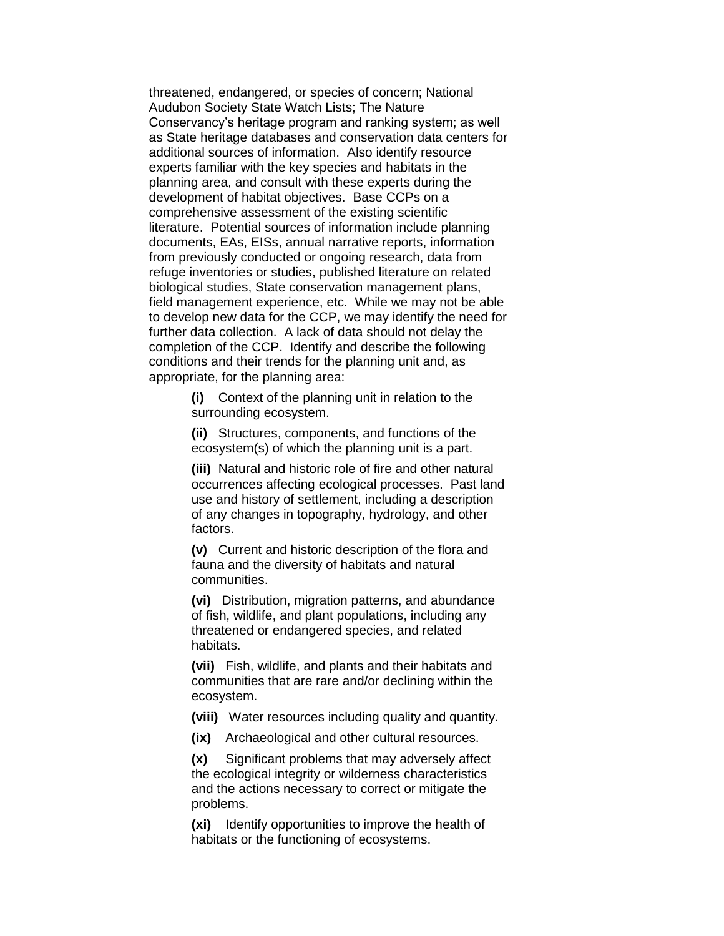threatened, endangered, or species of concern; National Audubon Society State Watch Lists; The Nature Conservancy's heritage program and ranking system; as well as State heritage databases and conservation data centers for additional sources of information. Also identify resource experts familiar with the key species and habitats in the planning area, and consult with these experts during the development of habitat objectives. Base CCPs on a comprehensive assessment of the existing scientific literature. Potential sources of information include planning documents, EAs, EISs, annual narrative reports, information from previously conducted or ongoing research, data from refuge inventories or studies, published literature on related biological studies, State conservation management plans, field management experience, etc. While we may not be able to develop new data for the CCP, we may identify the need for further data collection. A lack of data should not delay the completion of the CCP. Identify and describe the following conditions and their trends for the planning unit and, as appropriate, for the planning area:

> **(i)** Context of the planning unit in relation to the surrounding ecosystem.

**(ii)** Structures, components, and functions of the ecosystem(s) of which the planning unit is a part.

**(iii)** Natural and historic role of fire and other natural occurrences affecting ecological processes. Past land use and history of settlement, including a description of any changes in topography, hydrology, and other factors.

**(v)** Current and historic description of the flora and fauna and the diversity of habitats and natural communities.

**(vi)** Distribution, migration patterns, and abundance of fish, wildlife, and plant populations, including any threatened or endangered species, and related habitats.

**(vii)** Fish, wildlife, and plants and their habitats and communities that are rare and/or declining within the ecosystem.

**(viii)** Water resources including quality and quantity.

**(ix)** Archaeological and other cultural resources.

**(x)** Significant problems that may adversely affect the ecological integrity or wilderness characteristics and the actions necessary to correct or mitigate the problems.

**(xi)** Identify opportunities to improve the health of habitats or the functioning of ecosystems.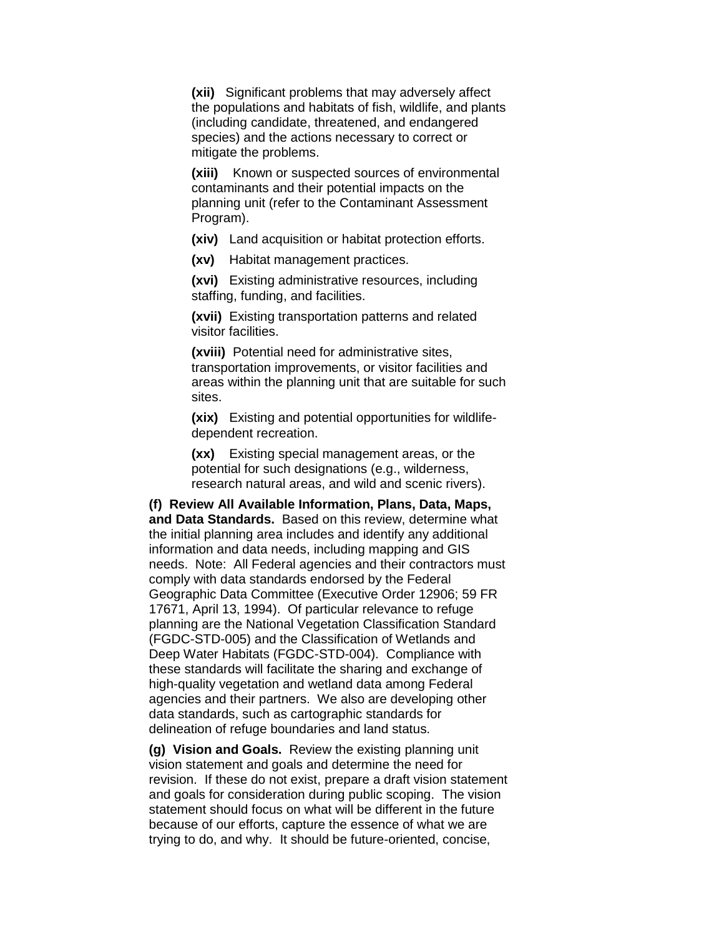**(xii)** Significant problems that may adversely affect the populations and habitats of fish, wildlife, and plants (including candidate, threatened, and endangered species) and the actions necessary to correct or mitigate the problems.

**(xiii)** Known or suspected sources of environmental contaminants and their potential impacts on the planning unit (refer to the Contaminant Assessment Program).

**(xiv)** Land acquisition or habitat protection efforts.

**(xv)** Habitat management practices.

**(xvi)** Existing administrative resources, including staffing, funding, and facilities.

**(xvii)** Existing transportation patterns and related visitor facilities.

**(xviii)** Potential need for administrative sites, transportation improvements, or visitor facilities and areas within the planning unit that are suitable for such sites.

**(xix)** Existing and potential opportunities for wildlifedependent recreation.

**(xx)** Existing special management areas, or the potential for such designations (e.g., wilderness, research natural areas, and wild and scenic rivers).

**(f) Review All Available Information, Plans, Data, Maps, and Data Standards.** Based on this review, determine what the initial planning area includes and identify any additional information and data needs, including mapping and GIS needs. Note: All Federal agencies and their contractors must comply with data standards endorsed by the Federal Geographic Data Committee (Executive Order 12906; 59 FR 17671, April 13, 1994). Of particular relevance to refuge planning are the National Vegetation Classification Standard (FGDC-STD-005) and the Classification of Wetlands and Deep Water Habitats (FGDC-STD-004). Compliance with these standards will facilitate the sharing and exchange of high-quality vegetation and wetland data among Federal agencies and their partners. We also are developing other data standards, such as cartographic standards for delineation of refuge boundaries and land status.

**(g) Vision and Goals.** Review the existing planning unit vision statement and goals and determine the need for revision. If these do not exist, prepare a draft vision statement and goals for consideration during public scoping. The vision statement should focus on what will be different in the future because of our efforts, capture the essence of what we are trying to do, and why. It should be future-oriented, concise,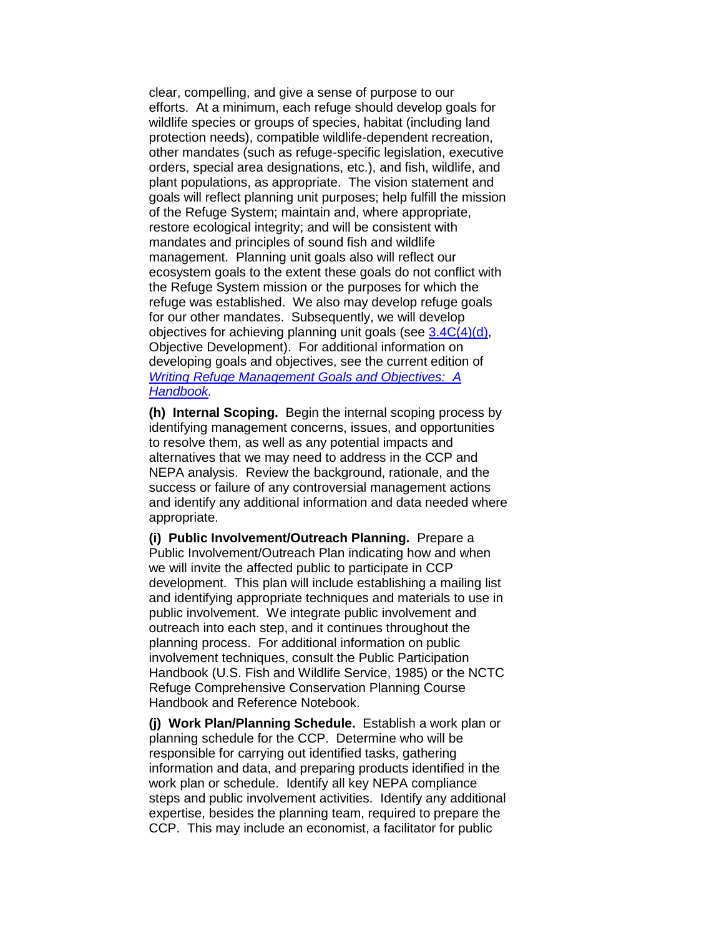clear, compelling, and give a sense of purpose to our efforts. At a minimum, each refuge should develop goals for wildlife species or groups of species, habitat (including land protection needs), compatible wildlife-dependent recreation, other mandates (such as refuge-specific legislation, executive orders, special area designations, etc.), and fish, wildlife, and plant populations, as appropriate. The vision statement and goals will reflect planning unit purposes; help fulfill the mission of the Refuge System; maintain and, where appropriate, restore ecological integrity; and will be consistent with mandates and principles of sound fish and wildlife management. Planning unit goals also will reflect our ecosystem goals to the extent these goals do not conflict with the Refuge System mission or the purposes for which the refuge was established. We also may develop refuge goals for our other mandates. Subsequently, we will develop objectives for achieving planning unit goals (see [3.4C\(4\)\(d\),](https://www.fws.gov/policy/602fw3.html#3.4C(4)(d)) Objective Development). For additional information on developing goals and objectives, see the current edition of *[Writing Refuge Management Goals and Objectives:](https://www.fws.gov/policy/hbindex.cfm) A [Handbook.](https://www.fws.gov/policy/hbindex.cfm)*

**(h) Internal Scoping.** Begin the internal scoping process by identifying management concerns, issues, and opportunities to resolve them, as well as any potential impacts and alternatives that we may need to address in the CCP and NEPA analysis. Review the background, rationale, and the success or failure of any controversial management actions and identify any additional information and data needed where appropriate.

**(i) Public Involvement/Outreach Planning.** Prepare a Public Involvement/Outreach Plan indicating how and when we will invite the affected public to participate in CCP development. This plan will include establishing a mailing list and identifying appropriate techniques and materials to use in public involvement. We integrate public involvement and outreach into each step, and it continues throughout the planning process. For additional information on public involvement techniques, consult the Public Participation Handbook (U.S. Fish and Wildlife Service, 1985) or the NCTC Refuge Comprehensive Conservation Planning Course Handbook and Reference Notebook.

**(j) Work Plan/Planning Schedule.** Establish a work plan or planning schedule for the CCP. Determine who will be responsible for carrying out identified tasks, gathering information and data, and preparing products identified in the work plan or schedule. Identify all key NEPA compliance steps and public involvement activities. Identify any additional expertise, besides the planning team, required to prepare the CCP. This may include an economist, a facilitator for public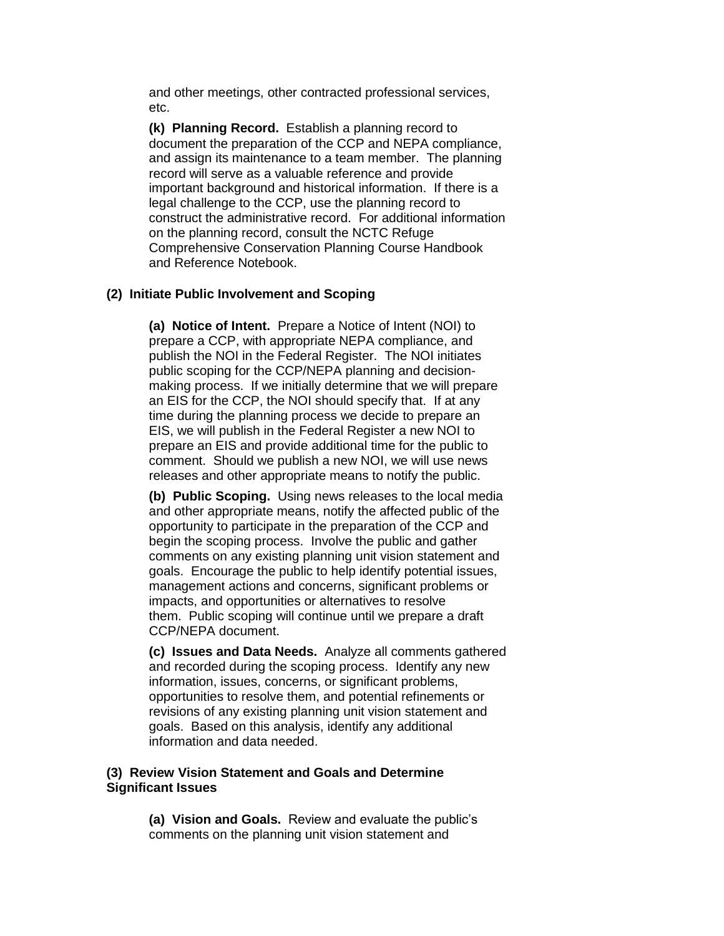and other meetings, other contracted professional services, etc.

**(k) Planning Record.** Establish a planning record to document the preparation of the CCP and NEPA compliance, and assign its maintenance to a team member. The planning record will serve as a valuable reference and provide important background and historical information. If there is a legal challenge to the CCP, use the planning record to construct the administrative record. For additional information on the planning record, consult the NCTC Refuge Comprehensive Conservation Planning Course Handbook and Reference Notebook.

# **(2) Initiate Public Involvement and Scoping**

**(a) Notice of Intent.** Prepare a Notice of Intent (NOI) to prepare a CCP, with appropriate NEPA compliance, and publish the NOI in the Federal Register. The NOI initiates public scoping for the CCP/NEPA planning and decisionmaking process. If we initially determine that we will prepare an EIS for the CCP, the NOI should specify that. If at any time during the planning process we decide to prepare an EIS, we will publish in the Federal Register a new NOI to prepare an EIS and provide additional time for the public to comment. Should we publish a new NOI, we will use news releases and other appropriate means to notify the public.

**(b) Public Scoping.** Using news releases to the local media and other appropriate means, notify the affected public of the opportunity to participate in the preparation of the CCP and begin the scoping process. Involve the public and gather comments on any existing planning unit vision statement and goals. Encourage the public to help identify potential issues, management actions and concerns, significant problems or impacts, and opportunities or alternatives to resolve them. Public scoping will continue until we prepare a draft CCP/NEPA document.

**(c) Issues and Data Needs.** Analyze all comments gathered and recorded during the scoping process. Identify any new information, issues, concerns, or significant problems, opportunities to resolve them, and potential refinements or revisions of any existing planning unit vision statement and goals. Based on this analysis, identify any additional information and data needed.

# **(3) Review Vision Statement and Goals and Determine Significant Issues**

**(a) Vision and Goals.** Review and evaluate the public's comments on the planning unit vision statement and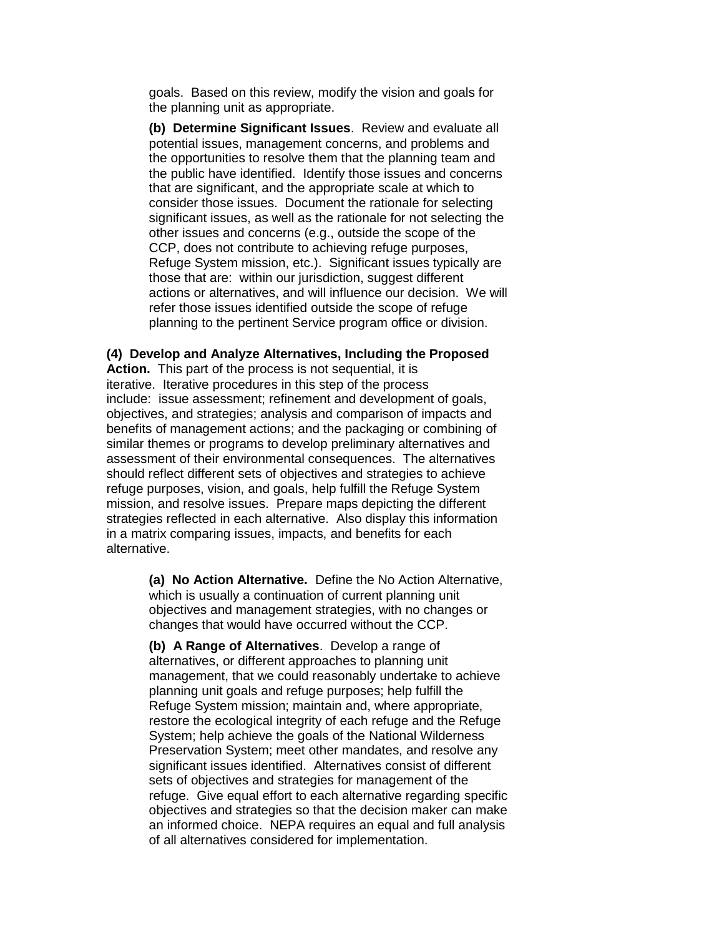goals. Based on this review, modify the vision and goals for the planning unit as appropriate.

**(b) Determine Significant Issues**. Review and evaluate all potential issues, management concerns, and problems and the opportunities to resolve them that the planning team and the public have identified. Identify those issues and concerns that are significant, and the appropriate scale at which to consider those issues. Document the rationale for selecting significant issues, as well as the rationale for not selecting the other issues and concerns (e.g., outside the scope of the CCP, does not contribute to achieving refuge purposes, Refuge System mission, etc.). Significant issues typically are those that are: within our jurisdiction, suggest different actions or alternatives, and will influence our decision. We will refer those issues identified outside the scope of refuge planning to the pertinent Service program office or division.

### **(4) Develop and Analyze Alternatives, Including the Proposed**

**Action.** This part of the process is not sequential, it is iterative. Iterative procedures in this step of the process include: issue assessment; refinement and development of goals, objectives, and strategies; analysis and comparison of impacts and benefits of management actions; and the packaging or combining of similar themes or programs to develop preliminary alternatives and assessment of their environmental consequences. The alternatives should reflect different sets of objectives and strategies to achieve refuge purposes, vision, and goals, help fulfill the Refuge System mission, and resolve issues. Prepare maps depicting the different strategies reflected in each alternative. Also display this information in a matrix comparing issues, impacts, and benefits for each alternative.

> **(a) No Action Alternative.** Define the No Action Alternative, which is usually a continuation of current planning unit objectives and management strategies, with no changes or changes that would have occurred without the CCP.

**(b) A Range of Alternatives**. Develop a range of alternatives, or different approaches to planning unit management, that we could reasonably undertake to achieve planning unit goals and refuge purposes; help fulfill the Refuge System mission; maintain and, where appropriate, restore the ecological integrity of each refuge and the Refuge System; help achieve the goals of the National Wilderness Preservation System; meet other mandates, and resolve any significant issues identified. Alternatives consist of different sets of objectives and strategies for management of the refuge. Give equal effort to each alternative regarding specific objectives and strategies so that the decision maker can make an informed choice. NEPA requires an equal and full analysis of all alternatives considered for implementation.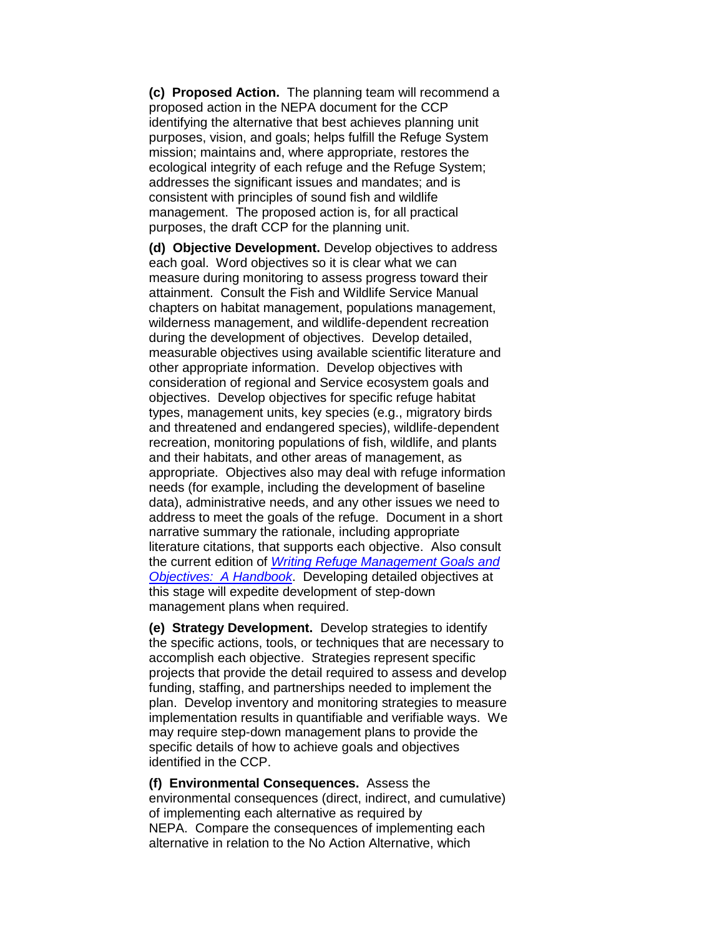**(c) Proposed Action.** The planning team will recommend a proposed action in the NEPA document for the CCP identifying the alternative that best achieves planning unit purposes, vision, and goals; helps fulfill the Refuge System mission; maintains and, where appropriate, restores the ecological integrity of each refuge and the Refuge System; addresses the significant issues and mandates; and is consistent with principles of sound fish and wildlife management. The proposed action is, for all practical purposes, the draft CCP for the planning unit.

**(d) Objective Development.** Develop objectives to address each goal. Word objectives so it is clear what we can measure during monitoring to assess progress toward their attainment. Consult the Fish and Wildlife Service Manual chapters on habitat management, populations management, wilderness management, and wildlife-dependent recreation during the development of objectives. Develop detailed, measurable objectives using available scientific literature and other appropriate information. Develop objectives with consideration of regional and Service ecosystem goals and objectives. Develop objectives for specific refuge habitat types, management units, key species (e.g., migratory birds and threatened and endangered species), wildlife-dependent recreation, monitoring populations of fish, wildlife, and plants and their habitats, and other areas of management, as appropriate. Objectives also may deal with refuge information needs (for example, including the development of baseline data), administrative needs, and any other issues we need to address to meet the goals of the refuge. Document in a short narrative summary the rationale, including appropriate literature citations, that supports each objective. Also consult the current edition of *[Writing Refuge Management Goals and](https://www.fws.gov/policy/hbindex.cfm)  Objectives: [A Handbook](https://www.fws.gov/policy/hbindex.cfm)*. Developing detailed objectives at this stage will expedite development of step-down management plans when required.

**(e) Strategy Development.** Develop strategies to identify the specific actions, tools, or techniques that are necessary to accomplish each objective. Strategies represent specific projects that provide the detail required to assess and develop funding, staffing, and partnerships needed to implement the plan. Develop inventory and monitoring strategies to measure implementation results in quantifiable and verifiable ways. We may require step-down management plans to provide the specific details of how to achieve goals and objectives identified in the CCP.

**(f) Environmental Consequences.** Assess the environmental consequences (direct, indirect, and cumulative) of implementing each alternative as required by NEPA. Compare the consequences of implementing each alternative in relation to the No Action Alternative, which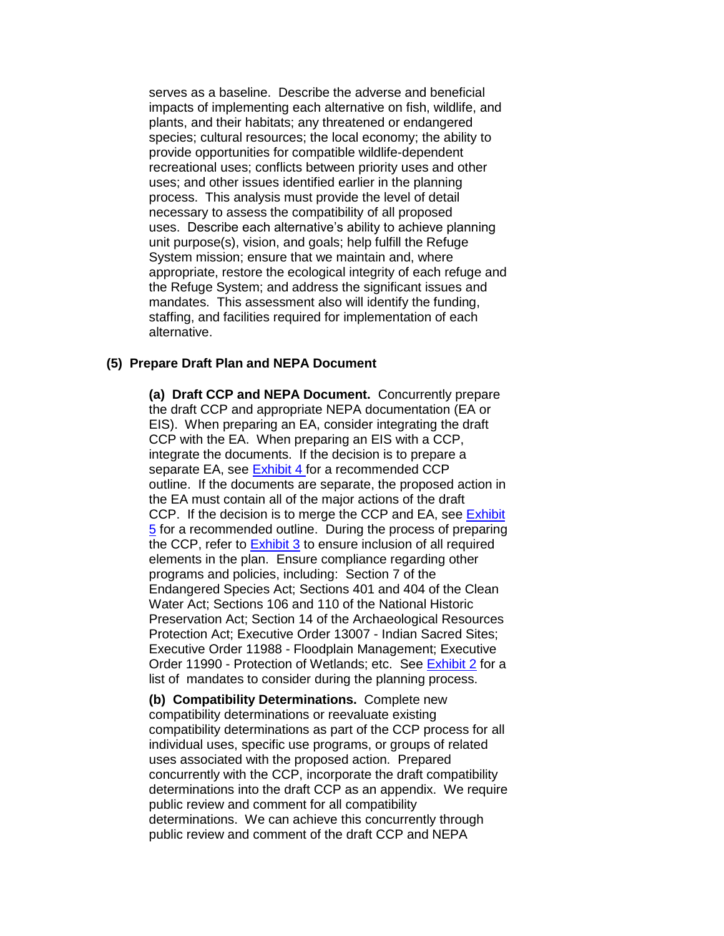serves as a baseline. Describe the adverse and beneficial impacts of implementing each alternative on fish, wildlife, and plants, and their habitats; any threatened or endangered species; cultural resources; the local economy; the ability to provide opportunities for compatible wildlife-dependent recreational uses; conflicts between priority uses and other uses; and other issues identified earlier in the planning process. This analysis must provide the level of detail necessary to assess the compatibility of all proposed uses. Describe each alternative's ability to achieve planning unit purpose(s), vision, and goals; help fulfill the Refuge System mission; ensure that we maintain and, where appropriate, restore the ecological integrity of each refuge and the Refuge System; and address the significant issues and mandates. This assessment also will identify the funding, staffing, and facilities required for implementation of each alternative.

#### **(5) Prepare Draft Plan and NEPA Document**

**(a) Draft CCP and NEPA Document.** Concurrently prepare the draft CCP and appropriate NEPA documentation (EA or EIS). When preparing an EA, consider integrating the draft CCP with the EA. When preparing an EIS with a CCP, integrate the documents. If the decision is to prepare a separate EA, see [Exhibit 4 f](https://www.fws.gov/policy/e4602fw3.html)or a recommended CCP outline. If the documents are separate, the proposed action in the EA must contain all of the major actions of the draft CCP. If the decision is to merge the CCP and EA, see Exhibit [5](https://www.fws.gov/policy/e5602fw3.html) for a recommended outline. During the process of preparing the CCP, refer to **Exhibit 3** to ensure inclusion of all required elements in the plan. Ensure compliance regarding other programs and policies, including: Section 7 of the Endangered Species Act; Sections 401 and 404 of the Clean Water Act; Sections 106 and 110 of the National Historic Preservation Act; Section 14 of the Archaeological Resources Protection Act; Executive Order 13007 - Indian Sacred Sites; Executive Order 11988 - Floodplain Management; Executive Order 11990 - Protection of Wetlands; etc. See [Exhibit 2](https://www.fws.gov/policy/e2602fw3.html) for a list of mandates to consider during the planning process.

**(b) Compatibility Determinations.** Complete new compatibility determinations or reevaluate existing compatibility determinations as part of the CCP process for all individual uses, specific use programs, or groups of related uses associated with the proposed action. Prepared concurrently with the CCP, incorporate the draft compatibility determinations into the draft CCP as an appendix. We require public review and comment for all compatibility determinations. We can achieve this concurrently through public review and comment of the draft CCP and NEPA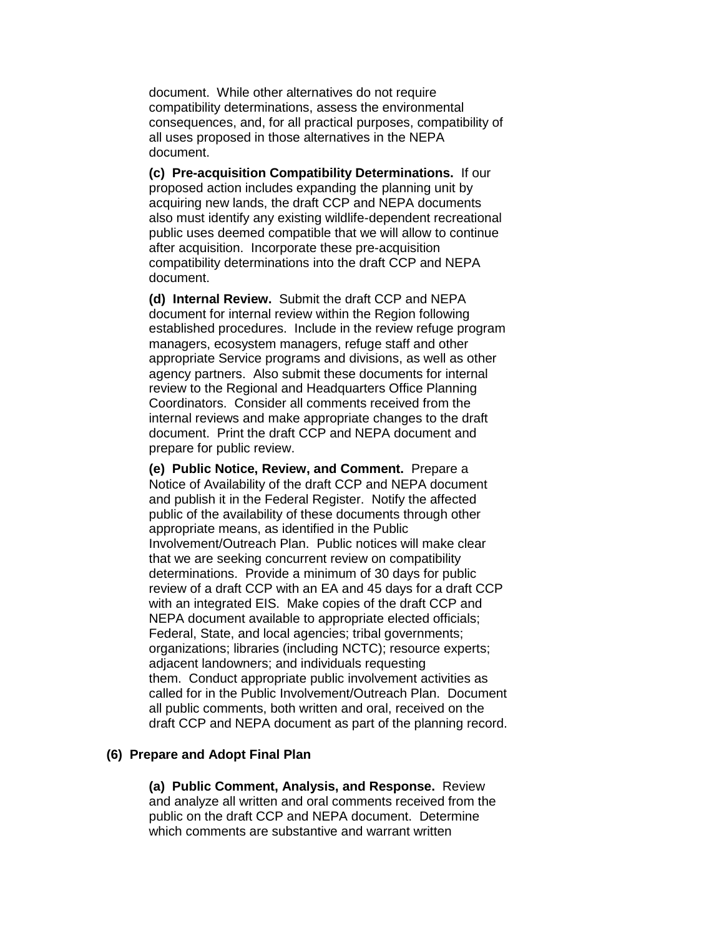document. While other alternatives do not require compatibility determinations, assess the environmental consequences, and, for all practical purposes, compatibility of all uses proposed in those alternatives in the NEPA document.

**(c) Pre-acquisition Compatibility Determinations.** If our proposed action includes expanding the planning unit by acquiring new lands, the draft CCP and NEPA documents also must identify any existing wildlife-dependent recreational public uses deemed compatible that we will allow to continue after acquisition. Incorporate these pre-acquisition compatibility determinations into the draft CCP and NEPA document.

**(d) Internal Review.** Submit the draft CCP and NEPA document for internal review within the Region following established procedures. Include in the review refuge program managers, ecosystem managers, refuge staff and other appropriate Service programs and divisions, as well as other agency partners. Also submit these documents for internal review to the Regional and Headquarters Office Planning Coordinators. Consider all comments received from the internal reviews and make appropriate changes to the draft document. Print the draft CCP and NEPA document and prepare for public review.

**(e) Public Notice, Review, and Comment.** Prepare a Notice of Availability of the draft CCP and NEPA document and publish it in the Federal Register. Notify the affected public of the availability of these documents through other appropriate means, as identified in the Public Involvement/Outreach Plan. Public notices will make clear that we are seeking concurrent review on compatibility determinations. Provide a minimum of 30 days for public review of a draft CCP with an EA and 45 days for a draft CCP with an integrated EIS. Make copies of the draft CCP and NEPA document available to appropriate elected officials; Federal, State, and local agencies; tribal governments; organizations; libraries (including NCTC); resource experts; adjacent landowners; and individuals requesting them. Conduct appropriate public involvement activities as called for in the Public Involvement/Outreach Plan. Document all public comments, both written and oral, received on the draft CCP and NEPA document as part of the planning record.

#### **(6) Prepare and Adopt Final Plan**

**(a) Public Comment, Analysis, and Response.** Review and analyze all written and oral comments received from the public on the draft CCP and NEPA document. Determine which comments are substantive and warrant written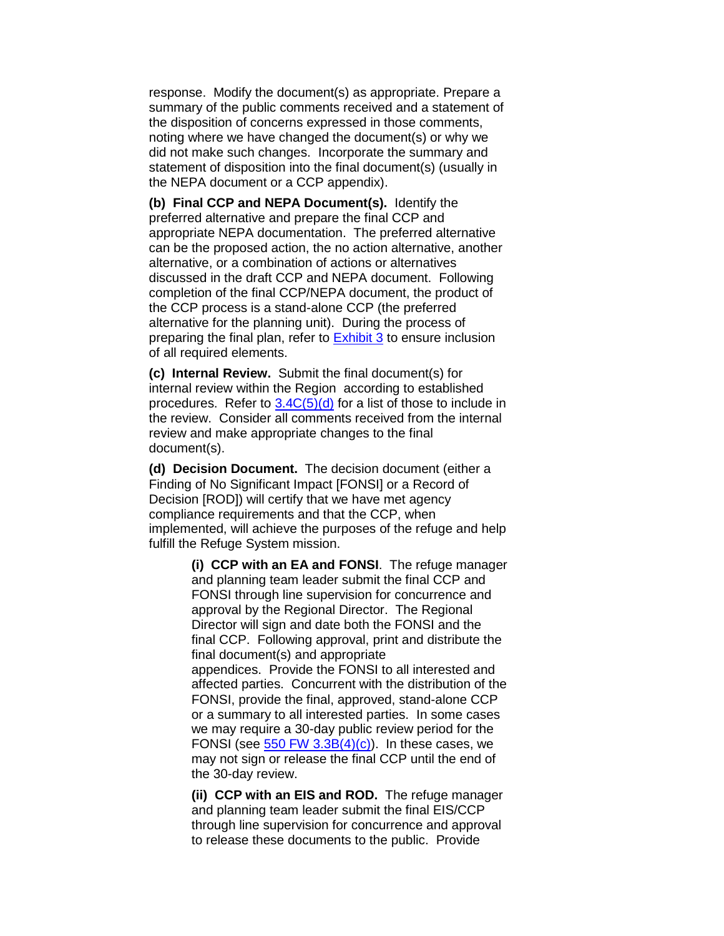response. Modify the document(s) as appropriate. Prepare a summary of the public comments received and a statement of the disposition of concerns expressed in those comments, noting where we have changed the document(s) or why we did not make such changes. Incorporate the summary and statement of disposition into the final document(s) (usually in the NEPA document or a CCP appendix).

**(b) Final CCP and NEPA Document(s).** Identify the preferred alternative and prepare the final CCP and appropriate NEPA documentation. The preferred alternative can be the proposed action, the no action alternative, another alternative, or a combination of actions or alternatives discussed in the draft CCP and NEPA document. Following completion of the final CCP/NEPA document, the product of the CCP process is a stand-alone CCP (the preferred alternative for the planning unit). During the process of preparing the final plan, refer to **Exhibit 3** to ensure inclusion of all required elements.

**(c) Internal Review.** Submit the final document(s) for internal review within the Region according to established procedures. Refer to  $3.4C(5)(d)$  for a list of those to include in the review. Consider all comments received from the internal review and make appropriate changes to the final document(s).

**(d) Decision Document.** The decision document (either a Finding of No Significant Impact [FONSI] or a Record of Decision [ROD]) will certify that we have met agency compliance requirements and that the CCP, when implemented, will achieve the purposes of the refuge and help fulfill the Refuge System mission.

> **(i) CCP with an EA and FONSI**. The refuge manager and planning team leader submit the final CCP and FONSI through line supervision for concurrence and approval by the Regional Director. The Regional Director will sign and date both the FONSI and the final CCP. Following approval, print and distribute the final document(s) and appropriate appendices. Provide the FONSI to all interested and affected parties. Concurrent with the distribution of the FONSI, provide the final, approved, stand-alone CCP or a summary to all interested parties. In some cases we may require a 30-day public review period for the FONSI (see  $550$  FW 3.3B(4)(c)). In these cases, we may not sign or release the final CCP until the end of the 30-day review.

**(ii) CCP with an EIS and ROD.** The refuge manager and planning team leader submit the final EIS/CCP through line supervision for concurrence and approval to release these documents to the public. Provide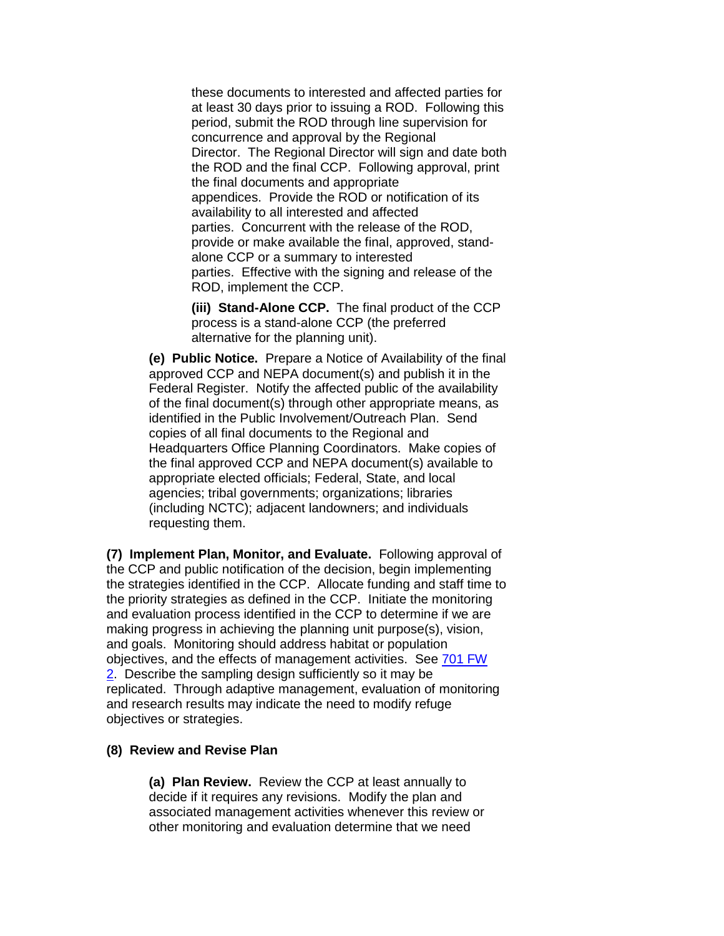these documents to interested and affected parties for at least 30 days prior to issuing a ROD. Following this period, submit the ROD through line supervision for concurrence and approval by the Regional Director. The Regional Director will sign and date both the ROD and the final CCP. Following approval, print the final documents and appropriate appendices. Provide the ROD or notification of its availability to all interested and affected parties. Concurrent with the release of the ROD, provide or make available the final, approved, standalone CCP or a summary to interested parties. Effective with the signing and release of the ROD, implement the CCP.

**(iii) Stand-Alone CCP.** The final product of the CCP process is a stand-alone CCP (the preferred alternative for the planning unit).

**(e) Public Notice.** Prepare a Notice of Availability of the final approved CCP and NEPA document(s) and publish it in the Federal Register. Notify the affected public of the availability of the final document(s) through other appropriate means, as identified in the Public Involvement/Outreach Plan. Send copies of all final documents to the Regional and Headquarters Office Planning Coordinators. Make copies of the final approved CCP and NEPA document(s) available to appropriate elected officials; Federal, State, and local agencies; tribal governments; organizations; libraries (including NCTC); adjacent landowners; and individuals requesting them.

**(7) Implement Plan, Monitor, and Evaluate.** Following approval of the CCP and public notification of the decision, begin implementing the strategies identified in the CCP. Allocate funding and staff time to the priority strategies as defined in the CCP. Initiate the monitoring and evaluation process identified in the CCP to determine if we are making progress in achieving the planning unit purpose(s), vision, and goals. Monitoring should address habitat or population objectives, and the effects of management activities. See [701 FW](https://www.fws.gov/policy/701fw2.html)  [2.](https://www.fws.gov/policy/701fw2.html) Describe the sampling design sufficiently so it may be replicated. Through adaptive management, evaluation of monitoring and research results may indicate the need to modify refuge objectives or strategies.

#### **(8) Review and Revise Plan**

**(a) Plan Review.** Review the CCP at least annually to decide if it requires any revisions. Modify the plan and associated management activities whenever this review or other monitoring and evaluation determine that we need